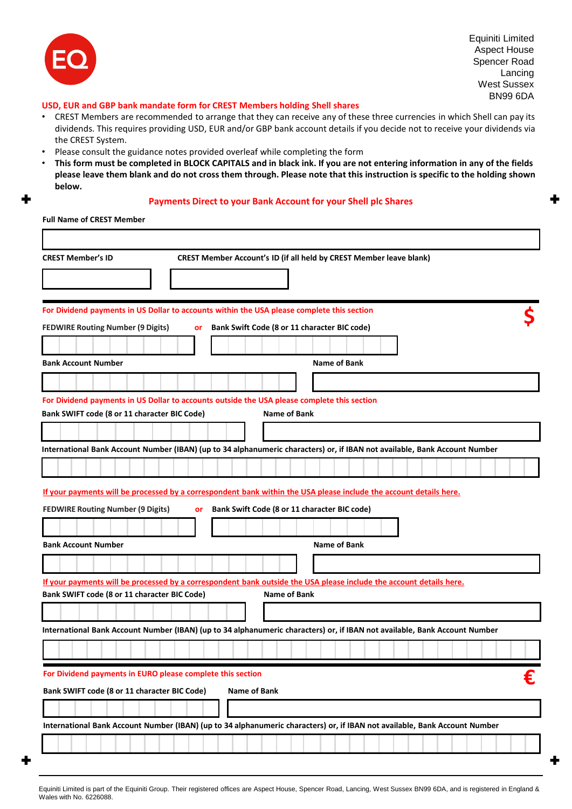

Equiniti Limited Aspect House Spencer Road Lancing West Sussex BN99 6DA

# **USD, EUR and GBP bank mandate form for CREST Members holding Shell shares**

- CREST Members are recommended to arrange that they can receive any of these three currencies in which Shell can pay its dividends. This requires providing USD, EUR and/or GBP bank account details if you decide not to receive your dividends via the CREST System.
- Please consult the guidance notes provided overleaf while completing the form
- **This form must be completed in BLOCK CAPITALS and in black ink. If you are not entering information in any of the fields please leave them blank and do not cross them through. Please note that this instruction is specific to the holding shown below.**

## **Payments Direct to your Bank Account for your Shell plc Shares**

**Full Name of CREST Member**

| <b>CREST Member's ID</b>                                                                                                                                                            |           |                     | <b>CREST Member Account's ID (if all held by CREST Member leave blank)</b> |  |              |  |  |  |  |  |   |
|-------------------------------------------------------------------------------------------------------------------------------------------------------------------------------------|-----------|---------------------|----------------------------------------------------------------------------|--|--------------|--|--|--|--|--|---|
|                                                                                                                                                                                     |           |                     |                                                                            |  |              |  |  |  |  |  |   |
| For Dividend payments in US Dollar to accounts within the USA please complete this section                                                                                          |           |                     |                                                                            |  |              |  |  |  |  |  |   |
| <b>FEDWIRE Routing Number (9 Digits)</b>                                                                                                                                            | or        |                     | Bank Swift Code (8 or 11 character BIC code)                               |  |              |  |  |  |  |  |   |
|                                                                                                                                                                                     |           |                     |                                                                            |  |              |  |  |  |  |  |   |
| <b>Bank Account Number</b>                                                                                                                                                          |           |                     |                                                                            |  | Name of Bank |  |  |  |  |  |   |
|                                                                                                                                                                                     |           |                     |                                                                            |  |              |  |  |  |  |  |   |
| For Dividend payments in US Dollar to accounts outside the USA please complete this section                                                                                         |           |                     |                                                                            |  |              |  |  |  |  |  |   |
| Bank SWIFT code (8 or 11 character BIC Code)                                                                                                                                        |           |                     | Name of Bank                                                               |  |              |  |  |  |  |  |   |
| International Bank Account Number (IBAN) (up to 34 alphanumeric characters) or, if IBAN not available, Bank Account Number                                                          |           |                     |                                                                            |  |              |  |  |  |  |  |   |
|                                                                                                                                                                                     |           |                     |                                                                            |  |              |  |  |  |  |  |   |
|                                                                                                                                                                                     |           |                     |                                                                            |  |              |  |  |  |  |  |   |
| If your payments will be processed by a correspondent bank within the USA please include the account details here.                                                                  |           |                     |                                                                            |  |              |  |  |  |  |  |   |
| <b>FEDWIRE Routing Number (9 Digits)</b>                                                                                                                                            | <b>or</b> |                     | Bank Swift Code (8 or 11 character BIC code)                               |  |              |  |  |  |  |  |   |
| <b>Bank Account Number</b>                                                                                                                                                          |           |                     |                                                                            |  | Name of Bank |  |  |  |  |  |   |
|                                                                                                                                                                                     |           |                     |                                                                            |  |              |  |  |  |  |  |   |
|                                                                                                                                                                                     |           |                     |                                                                            |  |              |  |  |  |  |  |   |
| If your payments will be processed by a correspondent bank outside the USA please include the account details here.<br>Bank SWIFT code (8 or 11 character BIC Code)<br>Name of Bank |           |                     |                                                                            |  |              |  |  |  |  |  |   |
|                                                                                                                                                                                     |           |                     |                                                                            |  |              |  |  |  |  |  |   |
| International Bank Account Number (IBAN) (up to 34 alphanumeric characters) or, if IBAN not available, Bank Account Number                                                          |           |                     |                                                                            |  |              |  |  |  |  |  |   |
|                                                                                                                                                                                     |           |                     |                                                                            |  |              |  |  |  |  |  |   |
| For Dividend payments in EURO please complete this section                                                                                                                          |           |                     |                                                                            |  |              |  |  |  |  |  | € |
| Bank SWIFT code (8 or 11 character BIC Code)                                                                                                                                        |           | <b>Name of Bank</b> |                                                                            |  |              |  |  |  |  |  |   |
|                                                                                                                                                                                     |           |                     |                                                                            |  |              |  |  |  |  |  |   |
| International Bank Account Number (IBAN) (up to 34 alphanumeric characters) or, if IBAN not available, Bank Account Number                                                          |           |                     |                                                                            |  |              |  |  |  |  |  |   |
|                                                                                                                                                                                     |           |                     |                                                                            |  |              |  |  |  |  |  |   |
|                                                                                                                                                                                     |           |                     |                                                                            |  |              |  |  |  |  |  |   |